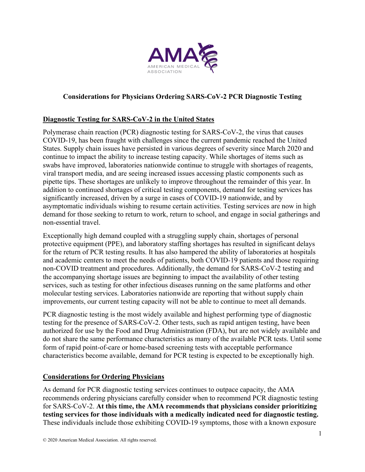

## **Considerations for Physicians Ordering SARS-CoV-2 PCR Diagnostic Testing**

## **Diagnostic Testing for SARS-CoV-2 in the United States**

Polymerase chain reaction (PCR) diagnostic testing for SARS-CoV-2, the virus that causes COVID-19, has been fraught with challenges since the current pandemic reached the United States. Supply chain issues have persisted in various degrees of severity since March 2020 and continue to impact the ability to increase testing capacity. While shortages of items such as swabs have improved, laboratories nationwide continue to struggle with shortages of reagents, viral transport media, and are seeing increased issues accessing plastic components such as pipette tips. These shortages are unlikely to improve throughout the remainder of this year. In addition to continued shortages of critical testing components, demand for testing services has significantly increased, driven by a surge in cases of COVID-19 nationwide, and by asymptomatic individuals wishing to resume certain activities. Testing services are now in high demand for those seeking to return to work, return to school, and engage in social gatherings and non-essential travel.

Exceptionally high demand coupled with a struggling supply chain, shortages of personal protective equipment (PPE), and laboratory staffing shortages has resulted in significant delays for the return of PCR testing results. It has also hampered the ability of laboratories at hospitals and academic centers to meet the needs of patients, both COVID-19 patients and those requiring non-COVID treatment and procedures. Additionally, the demand for SARS-CoV-2 testing and the accompanying shortage issues are beginning to impact the availability of other testing services, such as testing for other infectious diseases running on the same platforms and other molecular testing services. Laboratories nationwide are reporting that without supply chain improvements, our current testing capacity will not be able to continue to meet all demands.

PCR diagnostic testing is the most widely available and highest performing type of diagnostic testing for the presence of SARS-CoV-2. Other tests, such as rapid antigen testing, have been authorized for use by the Food and Drug Administration (FDA), but are not widely available and do not share the same performance characteristics as many of the available PCR tests. Until some form of rapid point-of-care or home-based screening tests with acceptable performance characteristics become available, demand for PCR testing is expected to be exceptionally high.

## **Considerations for Ordering Physicians**

As demand for PCR diagnostic testing services continues to outpace capacity, the AMA recommends ordering physicians carefully consider when to recommend PCR diagnostic testing for SARS-CoV-2. **At this time, the AMA recommends that physicians consider prioritizing testing services for those individuals with a medically indicated need for diagnostic testing.** These individuals include those exhibiting COVID-19 symptoms, those with a known exposure